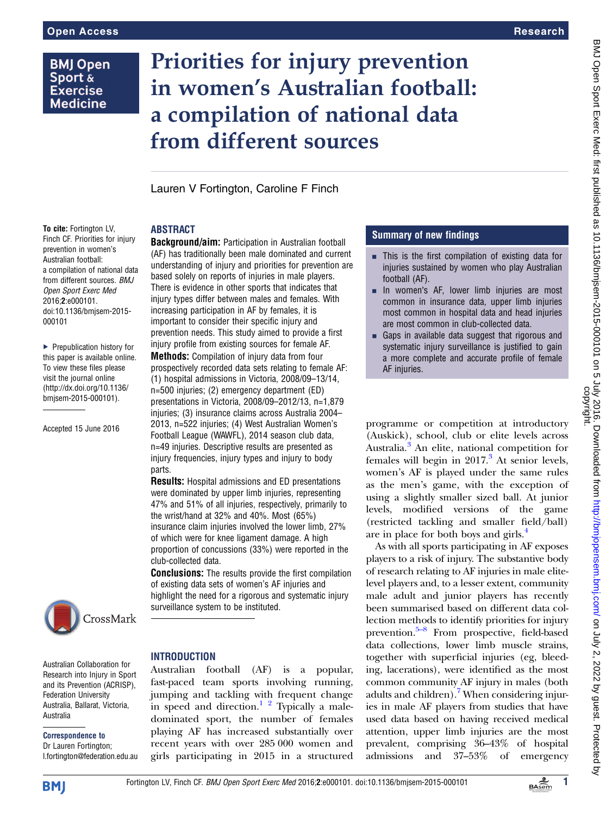# **BMJ Open** Sport & **Exercise Medicine**

# Priorities for injury prevention in women's Australian football: a compilation of national data from different sources

Lauren V Fortington, Caroline F Finch

## ABSTRACT

To cite: Fortington LV, Finch CF. Priorities for injury prevention in women's Australian football: a compilation of national data from different sources. BMJ Open Sport Exerc Med 2016;2:e000101. doi:10.1136/bmjsem-2015- 000101

▶ Prepublication history for this paper is available online. To view these files please visit the journal online [\(http://dx.doi.org/10.1136/](http://dx.doi.org/10.1136/bmjsem-2015-000101) [bmjsem-2015-000101\)](http://dx.doi.org/10.1136/bmjsem-2015-000101).

Accepted 15 June 2016



Australian Collaboration for Research into Injury in Sport and its Prevention (ACRISP), Federation University Australia, Ballarat, Victoria, Australia

Correspondence to Dr Lauren Fortington; l.fortington@federation.edu.au

#### **Background/aim:** Participation in Australian football (AF) has traditionally been male dominated and current understanding of injury and priorities for prevention are based solely on reports of injuries in male players. There is evidence in other sports that indicates that injury types differ between males and females. With increasing participation in AF by females, it is important to consider their specific injury and prevention needs. This study aimed to provide a first injury profile from existing sources for female AF. Methods: Compilation of injury data from four prospectively recorded data sets relating to female AF: (1) hospital admissions in Victoria, 2008/09–13/14, n=500 injuries; (2) emergency department (ED) presentations in Victoria, 2008/09–2012/13, n=1,879 injuries; (3) insurance claims across Australia 2004– 2013, n=522 injuries; (4) West Australian Women's Football League (WAWFL), 2014 season club data, n=49 injuries. Descriptive results are presented as injury frequencies, injury types and injury to body parts.

Results: Hospital admissions and ED presentations were dominated by upper limb injuries, representing 47% and 51% of all injuries, respectively, primarily to the wrist/hand at 32% and 40%. Most (65%) insurance claim injuries involved the lower limb, 27% of which were for knee ligament damage. A high proportion of concussions (33%) were reported in the club-collected data.

**Conclusions:** The results provide the first compilation of existing data sets of women's AF injuries and highlight the need for a rigorous and systematic injury surveillance system to be instituted.

## **INTRODUCTION**

Australian football (AF) is a popular, fast-paced team sports involving running, jumping and tackling with frequent change in speed and direction. $1^2$  Typically a maledominated sport, the number of females playing AF has increased substantially over recent years with over 285 000 women and girls participating in 2015 in a structured

## Summary of new findings

- $\blacksquare$  This is the first compilation of existing data for injuries sustained by women who play Australian football (AF).
- $\blacksquare$  In women's AF, lower limb injuries are most common in insurance data, upper limb injuries most common in hospital data and head injuries are most common in club-collected data.
- Gaps in available data suggest that rigorous and systematic injury surveillance is justified to gain a more complete and accurate profile of female AF injuries.

programme or competition at introductory (Auskick), school, club or elite levels across Australia.[3](#page-4-0) An elite, national competition for females will begin in  $2017<sup>3</sup>$  $2017<sup>3</sup>$  $2017<sup>3</sup>$ . At senior levels, women's AF is played under the same rules as the men's game, with the exception of using a slightly smaller sized ball. At junior levels, modified versions of the game (restricted tackling and smaller field/ball) are in place for both boys and girls.[4](#page-4-0)

As with all sports participating in AF exposes players to a risk of injury. The substantive body of research relating to AF injuries in male elitelevel players and, to a lesser extent, community male adult and junior players has recently been summarised based on different data collection methods to identify priorities for injury prevention. $5-8$  From prospective, field-based data collections, lower limb muscle strains, together with superficial injuries (eg, bleeding, lacerations), were identified as the most common community AF injury in males (both adults and children).<sup>[7](#page-4-0)</sup> When considering injuries in male AF players from studies that have used data based on having received medical attention, upper limb injuries are the most prevalent, comprising 36–43% of hospital admissions and 37–53% of emergency

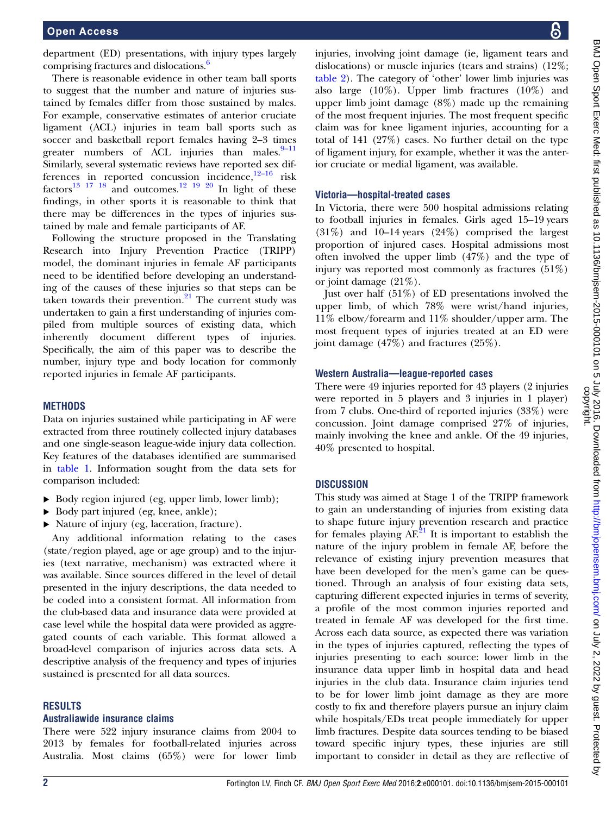department (ED) presentations, with injury types largely comprising fractures and dislocations.<sup>[6](#page-4-0)</sup>

There is reasonable evidence in other team ball sports to suggest that the number and nature of injuries sustained by females differ from those sustained by males. For example, conservative estimates of anterior cruciate ligament (ACL) injuries in team ball sports such as soccer and basketball report females having 2–3 times greater numbers of ACL injuries than males. $9-11$  $9-11$ Similarly, several systematic reviews have reported sex differences in reported concussion incidence, $12-16$  $12-16$  risk factors<sup>[13 17 18](#page-5-0)</sup> and outcomes.<sup>[12 19 20](#page-5-0)</sup> In light of these findings, in other sports it is reasonable to think that there may be differences in the types of injuries sustained by male and female participants of AF.

Following the structure proposed in the Translating Research into Injury Prevention Practice (TRIPP) model, the dominant injuries in female AF participants need to be identified before developing an understanding of the causes of these injuries so that steps can be taken towards their prevention. $21$  The current study was undertaken to gain a first understanding of injuries compiled from multiple sources of existing data, which inherently document different types of injuries. Specifically, the aim of this paper was to describe the number, injury type and body location for commonly reported injuries in female AF participants.

#### **METHODS**

Data on injuries sustained while participating in AF were extracted from three routinely collected injury databases and one single-season league-wide injury data collection. Key features of the databases identified are summarised in [table 1](#page-2-0). Information sought from the data sets for comparison included:

- ▸ Body region injured (eg, upper limb, lower limb);
- ▸ Body part injured (eg, knee, ankle);
- ▸ Nature of injury (eg, laceration, fracture).

Any additional information relating to the cases (state/region played, age or age group) and to the injuries (text narrative, mechanism) was extracted where it was available. Since sources differed in the level of detail presented in the injury descriptions, the data needed to be coded into a consistent format. All information from the club-based data and insurance data were provided at case level while the hospital data were provided as aggregated counts of each variable. This format allowed a broad-level comparison of injuries across data sets. A descriptive analysis of the frequency and types of injuries sustained is presented for all data sources.

#### RESULTS

#### Australiawide insurance claims

There were 522 injury insurance claims from 2004 to 2013 by females for football-related injuries across Australia. Most claims (65%) were for lower limb injuries, involving joint damage (ie, ligament tears and dislocations) or muscle injuries (tears and strains) (12%; [table 2\)](#page-3-0). The category of 'other' lower limb injuries was also large (10%). Upper limb fractures (10%) and upper limb joint damage (8%) made up the remaining of the most frequent injuries. The most frequent specific claim was for knee ligament injuries, accounting for a total of 141 (27%) cases. No further detail on the type of ligament injury, for example, whether it was the anterior cruciate or medial ligament, was available.

#### Victoria—hospital-treated cases

In Victoria, there were 500 hospital admissions relating to football injuries in females. Girls aged 15–19 years (31%) and 10–14 years (24%) comprised the largest proportion of injured cases. Hospital admissions most often involved the upper limb (47%) and the type of injury was reported most commonly as fractures (51%) or joint damage (21%).

Just over half (51%) of ED presentations involved the upper limb, of which 78% were wrist/hand injuries, 11% elbow/forearm and 11% shoulder/upper arm. The most frequent types of injuries treated at an ED were joint damage (47%) and fractures (25%).

#### Western Australia—league-reported cases

There were 49 injuries reported for 43 players (2 injuries were reported in 5 players and 3 injuries in 1 player) from 7 clubs. One-third of reported injuries (33%) were concussion. Joint damage comprised 27% of injuries, mainly involving the knee and ankle. Of the 49 injuries, 40% presented to hospital.

#### **DISCUSSION**

This study was aimed at Stage 1 of the TRIPP framework to gain an understanding of injuries from existing data to shape future injury prevention research and practice for females playing  $AF<sup>21</sup>$  $AF<sup>21</sup>$  $AF<sup>21</sup>$  It is important to establish the nature of the injury problem in female AF, before the relevance of existing injury prevention measures that have been developed for the men's game can be questioned. Through an analysis of four existing data sets, capturing different expected injuries in terms of severity, a profile of the most common injuries reported and treated in female AF was developed for the first time. Across each data source, as expected there was variation in the types of injuries captured, reflecting the types of injuries presenting to each source: lower limb in the insurance data upper limb in hospital data and head injuries in the club data. Insurance claim injuries tend to be for lower limb joint damage as they are more costly to fix and therefore players pursue an injury claim while hospitals/EDs treat people immediately for upper limb fractures. Despite data sources tending to be biased toward specific injury types, these injuries are still important to consider in detail as they are reflective of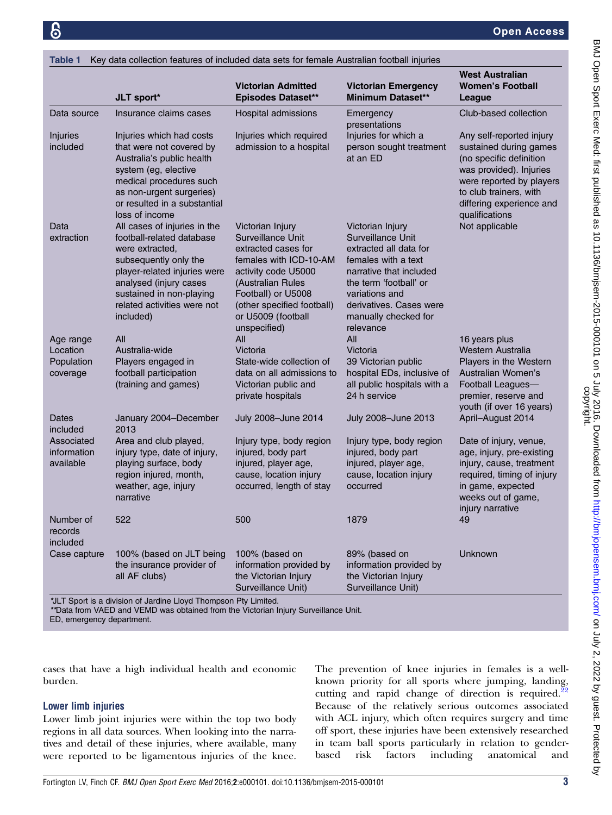|                                        | JLT sport*                                                                                                                                                                                                                              | <b>Victorian Admitted</b><br><b>Episodes Dataset**</b>                                                                                                                                                                       | <b>Victorian Emergency</b><br><b>Minimum Dataset**</b>                                                                                                                                                                        | <b>West Australian</b><br><b>Women's Football</b><br>League                                                                                                                                                  |
|----------------------------------------|-----------------------------------------------------------------------------------------------------------------------------------------------------------------------------------------------------------------------------------------|------------------------------------------------------------------------------------------------------------------------------------------------------------------------------------------------------------------------------|-------------------------------------------------------------------------------------------------------------------------------------------------------------------------------------------------------------------------------|--------------------------------------------------------------------------------------------------------------------------------------------------------------------------------------------------------------|
| Data source                            | Insurance claims cases                                                                                                                                                                                                                  | Hospital admissions                                                                                                                                                                                                          | Emergency<br>presentations                                                                                                                                                                                                    | Club-based collection                                                                                                                                                                                        |
| Injuries<br>included                   | Injuries which had costs<br>that were not covered by<br>Australia's public health<br>system (eg, elective<br>medical procedures such<br>as non-urgent surgeries)<br>or resulted in a substantial<br>loss of income                      | Injuries which required<br>admission to a hospital                                                                                                                                                                           | Injuries for which a<br>person sought treatment<br>at an ED                                                                                                                                                                   | Any self-reported injury<br>sustained during games<br>(no specific definition<br>was provided). Injuries<br>were reported by players<br>to club trainers, with<br>differing experience and<br>qualifications |
| Data<br>extraction                     | All cases of injuries in the<br>football-related database<br>were extracted.<br>subsequently only the<br>player-related injuries were<br>analysed (injury cases<br>sustained in non-playing<br>related activities were not<br>included) | Victorian Injury<br>Surveillance Unit<br>extracted cases for<br>females with ICD-10-AM<br>activity code U5000<br>(Australian Rules<br>Football) or U5008<br>(other specified football)<br>or U5009 (football<br>unspecified) | Victorian Injury<br>Surveillance Unit<br>extracted all data for<br>females with a text<br>narrative that included<br>the term 'football' or<br>variations and<br>derivatives. Cases were<br>manually checked for<br>relevance | Not applicable                                                                                                                                                                                               |
| Age range                              | All                                                                                                                                                                                                                                     | All                                                                                                                                                                                                                          | All                                                                                                                                                                                                                           | 16 years plus                                                                                                                                                                                                |
| Location<br>Population<br>coverage     | Australia-wide<br>Players engaged in<br>football participation<br>(training and games)                                                                                                                                                  | Victoria<br>State-wide collection of<br>data on all admissions to<br>Victorian public and<br>private hospitals                                                                                                               | Victoria<br>39 Victorian public<br>hospital EDs, inclusive of<br>all public hospitals with a<br>24 h service                                                                                                                  | Western Australia<br>Players in the Western<br>Australian Women's<br>Football Leagues-<br>premier, reserve and<br>youth (if over 16 years)                                                                   |
| Dates<br>included                      | January 2004-December<br>2013                                                                                                                                                                                                           | July 2008-June 2014                                                                                                                                                                                                          | July 2008-June 2013                                                                                                                                                                                                           | April-August 2014                                                                                                                                                                                            |
| Associated<br>information<br>available | Area and club played,<br>injury type, date of injury,<br>playing surface, body<br>region injured, month,<br>weather, age, injury<br>narrative                                                                                           | Injury type, body region<br>injured, body part<br>injured, player age,<br>cause, location injury<br>occurred, length of stay                                                                                                 | Injury type, body region<br>injured, body part<br>injured, player age,<br>cause, location injury<br>occurred                                                                                                                  | Date of injury, venue,<br>age, injury, pre-existing<br>injury, cause, treatment<br>required, timing of injury<br>in game, expected<br>weeks out of game,<br>injury narrative                                 |
| Number of<br>records<br>included       | 522                                                                                                                                                                                                                                     | 500                                                                                                                                                                                                                          | 1879                                                                                                                                                                                                                          | 49                                                                                                                                                                                                           |
| Case capture                           | 100% (based on JLT being<br>the insurance provider of<br>all AF clubs)<br>*JLT Sport is a division of Jardine Lloyd Thompson Pty Limited.                                                                                               | 100% (based on<br>information provided by<br>the Victorian Injury<br>Surveillance Unit)                                                                                                                                      | 89% (based on<br>information provided by<br>the Victorian Injury<br>Surveillance Unit)                                                                                                                                        | Unknown                                                                                                                                                                                                      |

<span id="page-2-0"></span>Table 1 Key data collection features of included data sets for female Australian football injuries

\*\*Data from VAED and VEMD was obtained from the Victorian Injury Surveillance Unit.

ED, emergency department.

cases that have a high individual health and economic burden.

## Lower limb injuries

Lower limb joint injuries were within the top two body regions in all data sources. When looking into the narratives and detail of these injuries, where available, many were reported to be ligamentous injuries of the knee. The prevention of knee injuries in females is a wellknown priority for all sports where jumping, landing, cutting and rapid change of direction is required.<sup>[22](#page-5-0)</sup> Because of the relatively serious outcomes associated with ACL injury, which often requires surgery and time off sport, these injuries have been extensively researched in team ball sports particularly in relation to genderbased risk factors including anatomical and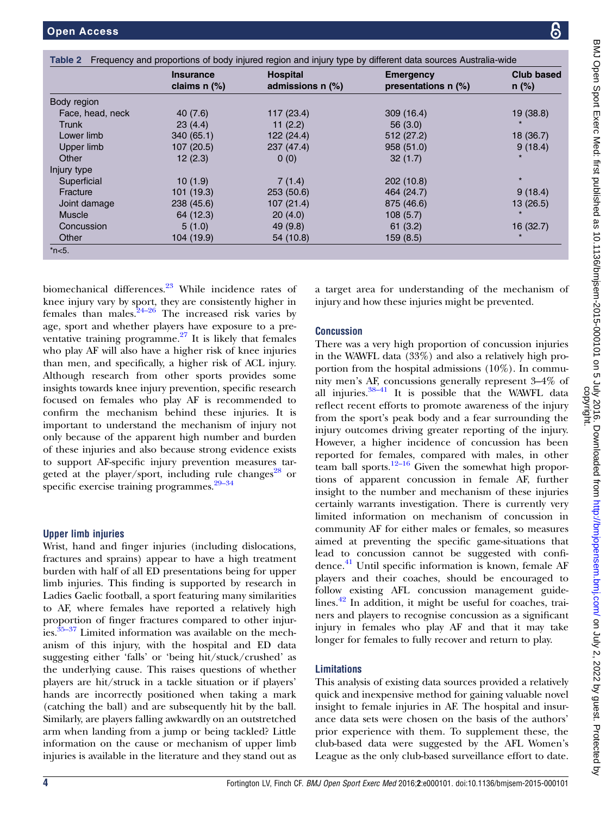<span id="page-3-0"></span>

|                  | <b>Insurance</b><br>claims $n$ $%$ | <b>Hospital</b><br>admissions n (%) | <b>Emergency</b><br>presentations n (%) | <b>Club based</b><br>$n$ (%) |
|------------------|------------------------------------|-------------------------------------|-----------------------------------------|------------------------------|
| Body region      |                                    |                                     |                                         |                              |
| Face, head, neck | 40(7.6)                            | 117 (23.4)                          | 309(16.4)                               | 19(38.8)                     |
| <b>Trunk</b>     | 23(4.4)                            | 11 $(2.2)$                          | 56(3.0)                                 |                              |
| Lower limb       | 340(65.1)                          | 122 (24.4)                          | 512 (27.2)                              | 18 (36.7)                    |
| Upper limb       | 107(20.5)                          | 237 (47.4)                          | 958 (51.0)                              | 9(18.4)                      |
| Other            | 12(2.3)                            | 0(0)                                | 32(1.7)                                 | $\star$                      |
| Injury type      |                                    |                                     |                                         |                              |
| Superficial      | 10(1.9)                            | 7(1.4)                              | 202 (10.8)                              | $\star$                      |
| Fracture         | 101 (19.3)                         | 253 (50.6)                          | 464 (24.7)                              | 9(18.4)                      |
| Joint damage     | 238 (45.6)                         | 107(21.4)                           | 875 (46.6)                              | 13(26.5)                     |
| <b>Muscle</b>    | 64 (12.3)                          | 20(4.0)                             | 108(5.7)                                |                              |
| Concussion       | 5(1.0)                             | 49 (9.8)                            | 61(3.2)                                 | 16(32.7)                     |
| Other            | 104 (19.9)                         | 54 (10.8)                           | 159 (8.5)                               | $\star$                      |

biomechanical differences.<sup>[23](#page-5-0)</sup> While incidence rates of knee injury vary by s[port,](#page-5-0) they are consistently higher in females than males. $24-26$  The increased risk varies by age, sport and whether players have exposure to a preventative training programme. $^{27}$  It is likely that females who play AF will also have a higher risk of knee injuries than men, and specifically, a higher risk of ACL injury. Although research from other sports provides some insights towards knee injury prevention, specific research focused on females who play AF is recommended to confirm the mechanism behind these injuries. It is important to understand the mechanism of injury not only because of the apparent high number and burden of these injuries and also because strong evidence exists to support AF-specific injury prevention measures targeted at the player/sport, including [rule](#page-5-0) changes<sup>[28](#page-5-0)</sup> or specific exercise training programmes. $29-34$ 

## Upper limb injuries

Wrist, hand and finger injuries (including dislocations, fractures and sprains) appear to have a high treatment burden with half of all ED presentations being for upper limb injuries. This finding is supported by research in Ladies Gaelic football, a sport featuring many similarities to AF, where females have reported a relatively high proportion of finger fractures compared to other injuries. $35-37$  $35-37$  Limited information was available on the mechanism of this injury, with the hospital and ED data suggesting either 'falls' or 'being hit/stuck/crushed' as the underlying cause. This raises questions of whether players are hit/struck in a tackle situation or if players' hands are incorrectly positioned when taking a mark (catching the ball) and are subsequently hit by the ball. Similarly, are players falling awkwardly on an outstretched arm when landing from a jump or being tackled? Little information on the cause or mechanism of upper limb injuries is available in the literature and they stand out as

a target area for understanding of the mechanism of injury and how these injuries might be prevented.

## **Concussion**

There was a very high proportion of concussion injuries in the WAWFL data (33%) and also a relatively high proportion from the hospital admissions (10%). In community men's AF, concussions generally represent 3–4% of all injuries.[38](#page-5-0)–<sup>41</sup> It is possible that the WAWFL data reflect recent efforts to promote awareness of the injury from the sport's peak body and a fear surrounding the injury outcomes driving greater reporting of the injury. However, a higher incidence of concussion has been reported for females, compared with males, in other team ball sports. $12-16$  $12-16$  Given the somewhat high proportions of apparent concussion in female AF, further insight to the number and mechanism of these injuries certainly warrants investigation. There is currently very limited information on mechanism of concussion in community AF for either males or females, so measures aimed at preventing the specific game-situations that lead to concussion cannot be suggested with confidence.[41](#page-5-0) Until specific information is known, female AF players and their coaches, should be encouraged to follow existing AFL concussion management guidelines[.42](#page-5-0) In addition, it might be useful for coaches, trainers and players to recognise concussion as a significant injury in females who play AF and that it may take longer for females to fully recover and return to play.

## Limitations

This analysis of existing data sources provided a relatively quick and inexpensive method for gaining valuable novel insight to female injuries in AF. The hospital and insurance data sets were chosen on the basis of the authors' prior experience with them. To supplement these, the club-based data were suggested by the AFL Women's League as the only club-based surveillance effort to date.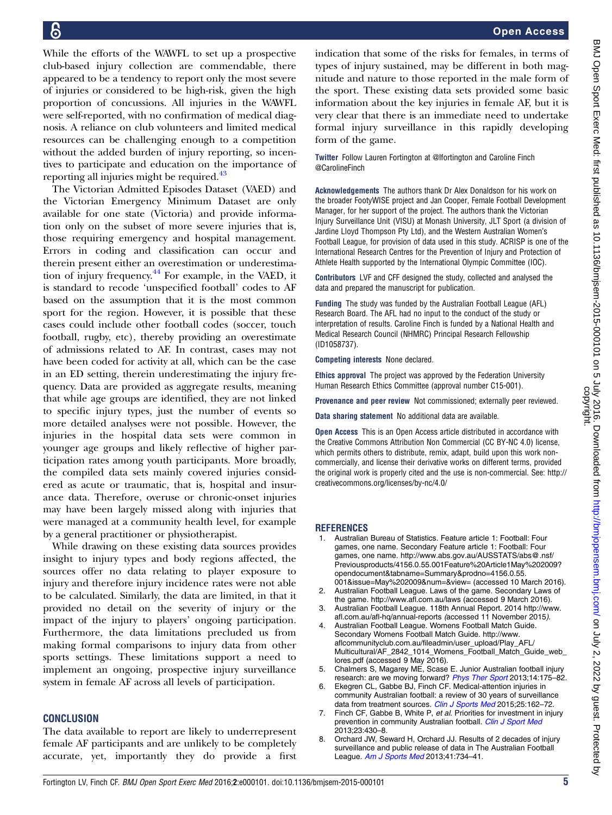The Victorian Admitted Episodes Dataset (VAED) and indication that some of the risks for females, in terms of types of injury sustained, may be different in both magnitude and nature to those reported in the male form of the sport. These existing data sets provided some basic information about the key injuries in female AF, but it is very clear that there is an immediate need to undertake formal injury surveillance in this rapidly developing form of the game. Twitter Follow Lauren Fortington at [@lfortington and Caroline Finch](http://twitter.com/lfortington) [@CarolineFinch](http://twitter.com/lfortington) Acknowledgements The authors thank Dr Alex Donaldson for his work on the broader FootyWISE project and Jan Cooper, Female Football Development Manager, for her support of the project. The authors thank the Victorian Injury Surveillance Unit (VISU) at Monash University, JLT Sport (a division of Jardine Lloyd Thompson Pty Ltd), and the Western Australian Women's Football League, for provision of data used in this study. ACRISP is one of the International Research Centres for the Prevention of Injury and Protection of Athlete Health supported by the International Olympic Committee (IOC). Contributors LVF and CFF designed the study, collected and analysed the (ID1058737).

data and prepared the manuscript for publication.

Funding The study was funded by the Australian Football League (AFL) Research Board. The AFL had no input to the conduct of the study or interpretation of results. Caroline Finch is funded by a National Health and Medical Research Council (NHMRC) Principal Research Fellowship

Competing interests None declared.

Ethics approval The project was approved by the Federation University Human Research Ethics Committee (approval number C15-001).

Provenance and peer review Not commissioned; externally peer reviewed.

Data sharing statement No additional data are available.

Open Access This is an Open Access article distributed in accordance with the Creative Commons Attribution Non Commercial (CC BY-NC 4.0) license, which permits others to distribute, remix, adapt, build upon this work noncommercially, and license their derivative works on different terms, provided the original work is properly cited and the use is non-commercial. See: [http://](http://creativecommons.org/licenses/by-nc/4.0/) [creativecommons.org/licenses/by-nc/4.0/](http://creativecommons.org/licenses/by-nc/4.0/)

## **REFERENCES**

- 1. Australian Bureau of Statistics. Feature article 1: Football: Four games, one name. Secondary Feature article 1: Football: Four games, one name. [http://www.abs.gov.au/AUSSTATS/abs@.nsf/](http://www.abs.gov.au/AUSSTATS/abs@.nsf/Previousproducts/4156.0.55.001Feature%20Article1May%202009?opendocument&tabname=Summary&prodno=4156.0.55.001&issue=May%202009&num=&view=) [Previousproducts/4156.0.55.001Feature%20Article1May%202009?](http://www.abs.gov.au/AUSSTATS/abs@.nsf/Previousproducts/4156.0.55.001Feature%20Article1May%202009?opendocument&tabname=Summary&prodno=4156.0.55.001&issue=May%202009&num=&view=) [opendocument&tabname=Summary&prodno=4156.0.55.](http://www.abs.gov.au/AUSSTATS/abs@.nsf/Previousproducts/4156.0.55.001Feature%20Article1May%202009?opendocument&tabname=Summary&prodno=4156.0.55.001&issue=May%202009&num=&view=) [001&issue=May%202009&num=&view=](http://www.abs.gov.au/AUSSTATS/abs@.nsf/Previousproducts/4156.0.55.001Feature%20Article1May%202009?opendocument&tabname=Summary&prodno=4156.0.55.001&issue=May%202009&num=&view=) (accessed 10 March 2016).
- 2. Australian Football League. Laws of the game. Secondary Laws of the game.<http://www.afl.com.au/laws> (accessed 9 March 2016).
- 3. Australian Football League. 118th Annual Report. 2014 [http://www.](http://www.afl.com.au/afl-hq/annual-reports) [afl.com.au/afl-hq/annual-reports](http://www.afl.com.au/afl-hq/annual-reports) (accessed 11 November 2015).
- 4. Australian Football League. Womens Football Match Guide. Secondary Womens Football Match Guide. [http://www.](http://www.aflcommunityclub.com.au/fileadmin/user_upload/Play_AFL/Multicultural/AF_2842_1014_Womens_Football_Match_Guide_web_lores.pdf) [aflcommunityclub.com.au/fileadmin/user\\_upload/Play\\_AFL/](http://www.aflcommunityclub.com.au/fileadmin/user_upload/Play_AFL/Multicultural/AF_2842_1014_Womens_Football_Match_Guide_web_lores.pdf) [Multicultural/AF\\_2842\\_1014\\_Womens\\_Football\\_Match\\_Guide\\_web\\_](http://www.aflcommunityclub.com.au/fileadmin/user_upload/Play_AFL/Multicultural/AF_2842_1014_Womens_Football_Match_Guide_web_lores.pdf) [lores.pdf](http://www.aflcommunityclub.com.au/fileadmin/user_upload/Play_AFL/Multicultural/AF_2842_1014_Womens_Football_Match_Guide_web_lores.pdf) (accessed 9 May 2016).
- 5. Chalmers S, Magarey ME, Scase E. Junior Australian football injury research: are we moving forward? [Phys Ther Sport](http://dx.doi.org/10.1016/j.ptsp.2013.06.001) 2013;14:175-82.
- 6. Ekegren CL, Gabbe BJ, Finch CF. Medical-attention injuries in community Australian football: a review of 30 years of surveillance data from treatment sources. [Clin J Sports Med](http://dx.doi.org/10.1097/JSM.0000000000000108) 2015;25:162-72.
- 7. Finch CF, Gabbe B, White P, et al. Priorities for investment in injury prevention in community Australian football. [Clin J Sport Med](http://dx.doi.org/10.1097/JSM.0b013e31829aa3e8) 2013;23:430–8.
- 8. Orchard JW, Seward H, Orchard JJ. Results of 2 decades of injury surveillance and public release of data in The Australian Football League. [Am J Sports Med](http://dx.doi.org/10.1177/0363546513476270) 2013;41:734-41.

# <span id="page-4-0"></span>While the efforts of the WAWFL to set up a prospective club-based injury collection are commendable, there appeared to be a tendency to report only the most severe of injuries or considered to be high-risk, given the high proportion of concussions. All injuries in the WAWFL were self-reported, with no confirmation of medical diagnosis. A reliance on club volunteers and limited medical resources can be challenging enough to a competition without the added burden of injury reporting, so incentives to participate and education on the importance of reporting all injuries might be required.<sup>[43](#page-5-0)</sup>

the Victorian Emergency Minimum Dataset are only available for one state (Victoria) and provide information only on the subset of more severe injuries that is, those requiring emergency and hospital management. Errors in coding and classification can occur and therein present either an overestimation or underestimation of injury frequency. $44$  For example, in the VAED, it is standard to recode 'unspecified football' codes to AF based on the assumption that it is the most common sport for the region. However, it is possible that these cases could include other football codes (soccer, touch football, rugby, etc), thereby providing an overestimate of admissions related to AF. In contrast, cases may not have been coded for activity at all, which can be the case in an ED setting, therein underestimating the injury frequency. Data are provided as aggregate results, meaning that while age groups are identified, they are not linked to specific injury types, just the number of events so more detailed analyses were not possible. However, the injuries in the hospital data sets were common in younger age groups and likely reflective of higher participation rates among youth participants. More broadly, the compiled data sets mainly covered injuries considered as acute or traumatic, that is, hospital and insurance data. Therefore, overuse or chronic-onset injuries may have been largely missed along with injuries that were managed at a community health level, for example by a general practitioner or physiotherapist.

While drawing on these existing data sources provides insight to injury types and body regions affected, the sources offer no data relating to player exposure to injury and therefore injury incidence rates were not able to be calculated. Similarly, the data are limited, in that it provided no detail on the severity of injury or the impact of the injury to players' ongoing participation. Furthermore, the data limitations precluded us from making formal comparisons to injury data from other sports settings. These limitations support a need to implement an ongoing, prospective injury surveillance system in female AF across all levels of participation.

# **CONCLUSION**

The data available to report are likely to underrepresent female AF participants and are unlikely to be completely accurate, yet, importantly they do provide a first